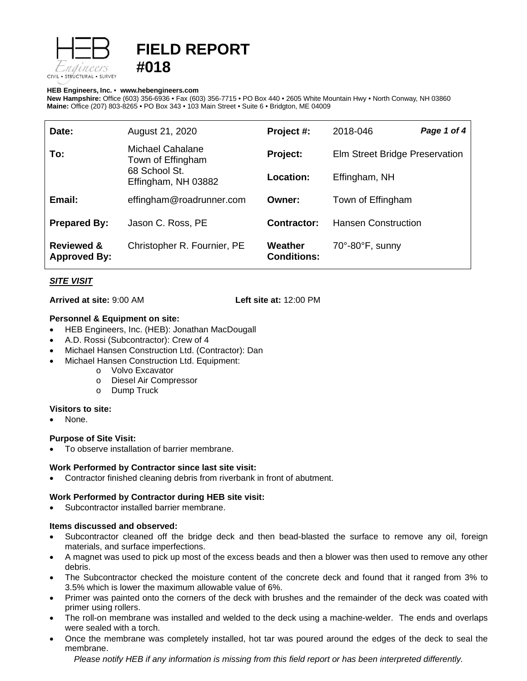

# **FIELD REPORT #018**

#### **HEB Engineers, Inc.** • **[www.hebengineer](http://www.hebengineers.com/)s.com**

**New Hampshire:** Office (603) 356-6936 • Fax (603) 356-7715 • PO Box 440 • 2605 White Mountain Hwy • North Conway, NH 03860 **Maine:** Office (207) 803-8265 • PO Box 343 • 103 Main Street • Suite 6 • Bridgton, ME 04009

| Date:                                        | August 21, 2020                                                               | Project #:                    | 2018-046                         | Page 1 of 4 |
|----------------------------------------------|-------------------------------------------------------------------------------|-------------------------------|----------------------------------|-------------|
| To:                                          | Michael Cahalane<br>Town of Effingham<br>68 School St.<br>Effingham, NH 03882 | Project:                      | Elm Street Bridge Preservation   |             |
|                                              |                                                                               | Location:                     | Effingham, NH                    |             |
| Email:                                       | effingham@roadrunner.com                                                      | Owner:                        | Town of Effingham                |             |
| <b>Prepared By:</b>                          | Jason C. Ross, PE                                                             | Contractor:                   | <b>Hansen Construction</b>       |             |
| <b>Reviewed &amp;</b><br><b>Approved By:</b> | Christopher R. Fournier, PE                                                   | Weather<br><b>Conditions:</b> | $70^\circ$ -80 $^\circ$ F, sunny |             |

# *SITE VISIT*

**Arrived at site:** 9:00 AM **Left site at:** 12:00 PM

# **Personnel & Equipment on site:**

- HEB Engineers, Inc. (HEB): Jonathan MacDougall
- A.D. Rossi (Subcontractor): Crew of 4
- Michael Hansen Construction Ltd. (Contractor): Dan
- Michael Hansen Construction Ltd. Equipment:
	- o Volvo Excavator
	- o Diesel Air Compressor
	- o Dump Truck

# **Visitors to site:**

None.

# **Purpose of Site Visit:**

• To observe installation of barrier membrane.

# **Work Performed by Contractor since last site visit:**

• Contractor finished cleaning debris from riverbank in front of abutment.

# **Work Performed by Contractor during HEB site visit:**

Subcontractor installed barrier membrane.

# **Items discussed and observed:**

- Subcontractor cleaned off the bridge deck and then bead-blasted the surface to remove any oil, foreign materials, and surface imperfections.
- A magnet was used to pick up most of the excess beads and then a blower was then used to remove any other debris.
- The Subcontractor checked the moisture content of the concrete deck and found that it ranged from 3% to 3.5% which is lower the maximum allowable value of 6%.
- Primer was painted onto the corners of the deck with brushes and the remainder of the deck was coated with primer using rollers.
- The roll-on membrane was installed and welded to the deck using a machine-welder. The ends and overlaps were sealed with a torch.
- Once the membrane was completely installed, hot tar was poured around the edges of the deck to seal the membrane.

*Please notify HEB if any information is missing from this field report or has been interpreted differently.*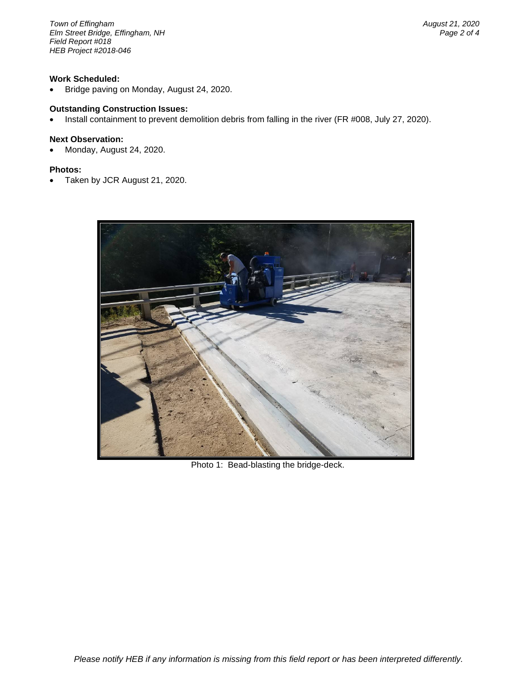*Town of Effingham August 21, 2020 <i>Elm Street Bridge, Effingham, NH Field Report #018 HEB Project #2018-046*

#### **Work Scheduled:**

• Bridge paving on Monday, August 24, 2020.

# **Outstanding Construction Issues:**

• Install containment to prevent demolition debris from falling in the river (FR #008, July 27, 2020).

#### **Next Observation:**

• Monday, August 24, 2020.

#### **Photos:**

• Taken by JCR August 21, 2020.



Photo 1: Bead-blasting the bridge-deck.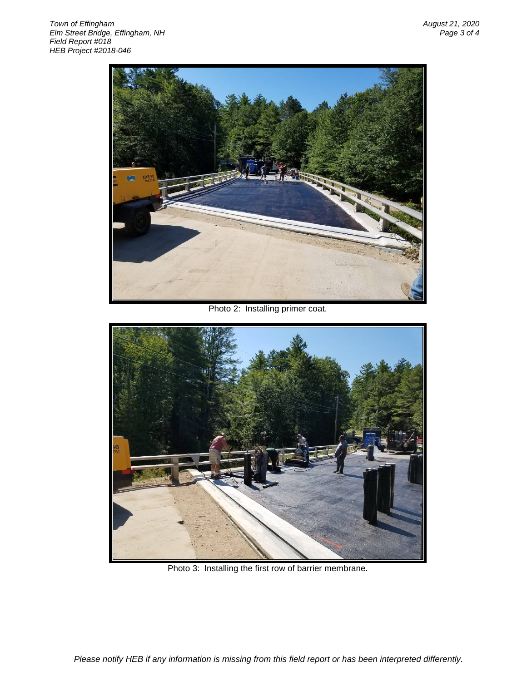

Photo 2: Installing primer coat.



Photo 3: Installing the first row of barrier membrane.